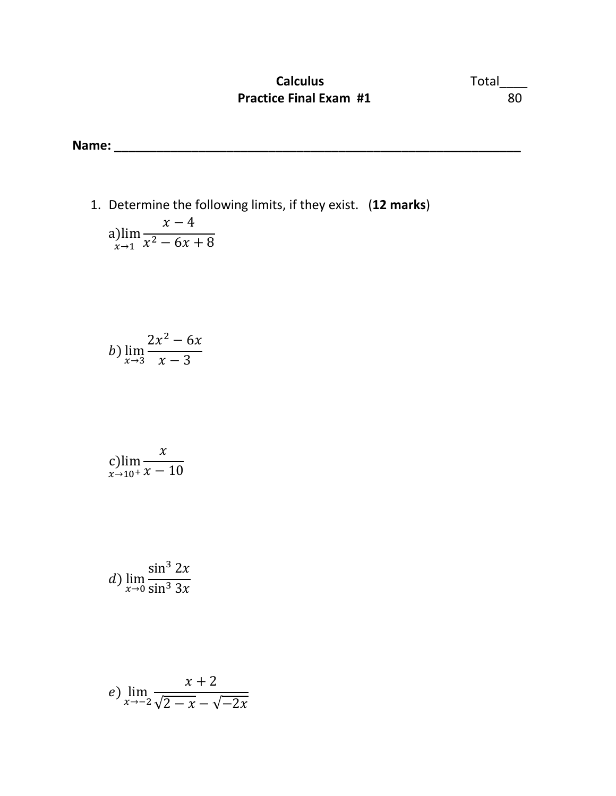## **Calculus** Total\_\_\_\_ **Practice Final Exam #1** 80

**Name: \_\_\_\_\_\_\_\_\_\_\_\_\_\_\_\_\_\_\_\_\_\_\_\_\_\_\_\_\_\_\_\_\_\_\_\_\_\_\_\_\_\_\_\_\_\_\_\_\_\_\_\_\_\_\_\_\_\_** 

1. Determine the following limits, if they exist. (**12 marks**) a)lim  $x\rightarrow 1$  $x - 4$  $x^2 - 6x + 8$ 

$$
b) \lim_{x \to 3} \frac{2x^2 - 6x}{x - 3}
$$

$$
\displaystyle\mathop{\rm c\,lim}_{x\to 10^+}\frac{x}{x-10}
$$

d) 
$$
\lim_{x \to 0} \frac{\sin^3 2x}{\sin^3 3x}
$$

$$
e) \lim_{x \to -2} \frac{x+2}{\sqrt{2-x} - \sqrt{-2x}}
$$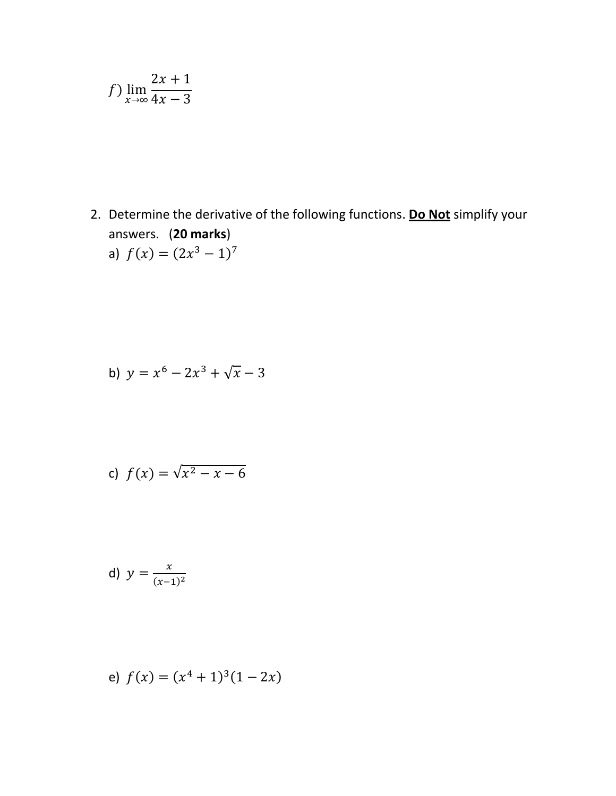$$
f) \lim_{x \to \infty} \frac{2x + 1}{4x - 3}
$$

2. Determine the derivative of the following functions. Do Not simplify your answers. (20 marks)  $\sim$ 

a) 
$$
f(x) = (2x^3 - 1)^7
$$

b) 
$$
y = x^6 - 2x^3 + \sqrt{x} - 3
$$

c) 
$$
f(x) = \sqrt{x^2 - x - 6}
$$

d) 
$$
y = \frac{x}{(x-1)^2}
$$

e) 
$$
f(x) = (x^4 + 1)^3(1 - 2x)
$$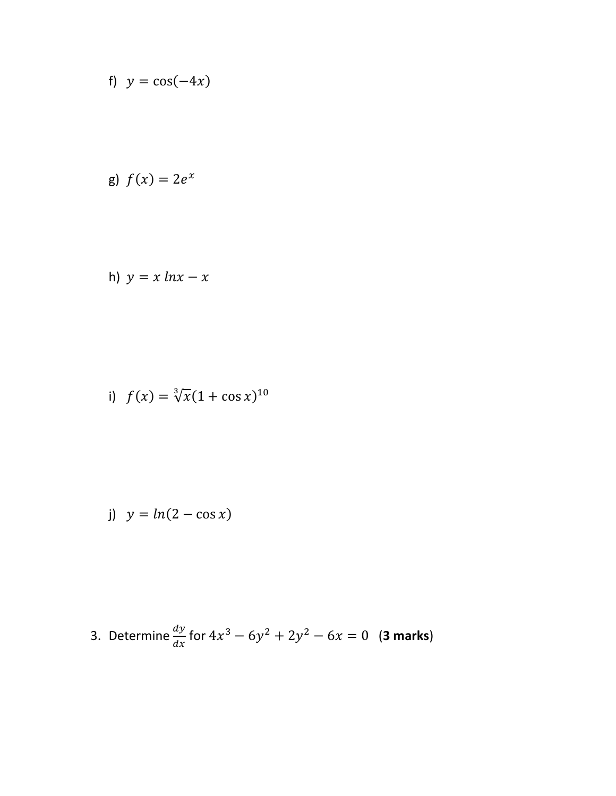f) 
$$
y = \cos(-4x)
$$

g) 
$$
f(x) = 2e^x
$$

h) 
$$
y = x \ln x - x
$$

i) 
$$
f(x) = \sqrt[3]{x}(1 + \cos x)^{10}
$$

j) 
$$
y = ln(2 - \cos x)
$$

3. Determine 
$$
\frac{dy}{dx}
$$
 for  $4x^3 - 6y^2 + 2y^2 - 6x = 0$  (3 marks)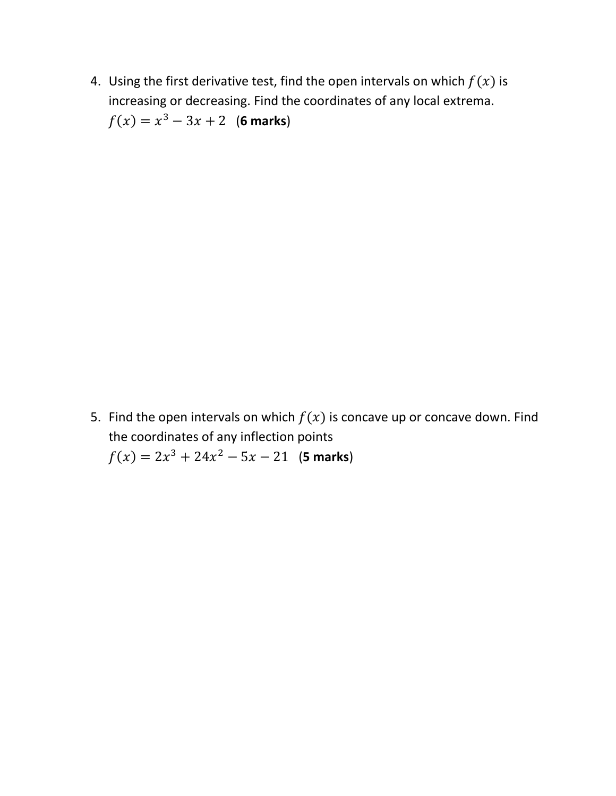4. Using the first derivative test, find the open intervals on which  $f(x)$  is increasing or decreasing. Find the coordinates of any local extrema.  $f(x) = x^3 - 3x + 2$  (6 marks)

5. Find the open intervals on which  $f(x)$  is concave up or concave down. Find the coordinates of any inflection points  $f(x) = 2x^3 + 24x^2 - 5x - 21$  (**5 marks**)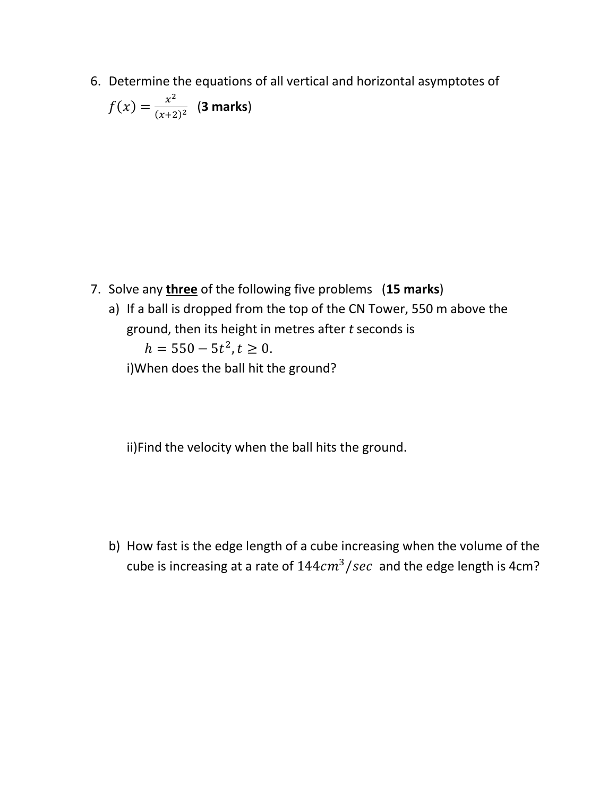6. Determine the equations of all vertical and horizontal asymptotes of &

$$
f(x) = \frac{x^2}{(x+2)^2}
$$
 (3 marks)

- 7. Solve any **three** of the following five problems (**15 marks**)
	- a) If a ball is dropped from the top of the CN Tower, 550 m above the ground, then its height in metres after *t* seconds is  $h = 550 - 5t^2, t \ge 0.$

i)When does the ball hit the ground?

ii)Find the velocity when the ball hits the ground.

b) How fast is the edge length of a cube increasing when the volume of the cube is increasing at a rate of  $144cm^3/sec$  and the edge length is 4cm?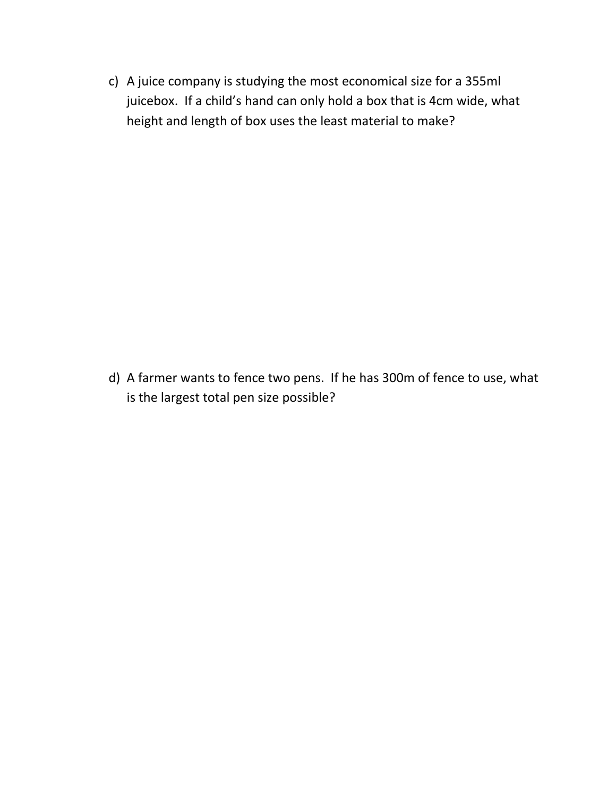c) A juice company is studying the most economical size for a 355ml juicebox. If a child's hand can only hold a box that is 4cm wide, what height and length of box uses the least material to make?

d) A farmer wants to fence two pens. If he has 300m of fence to use, what is the largest total pen size possible?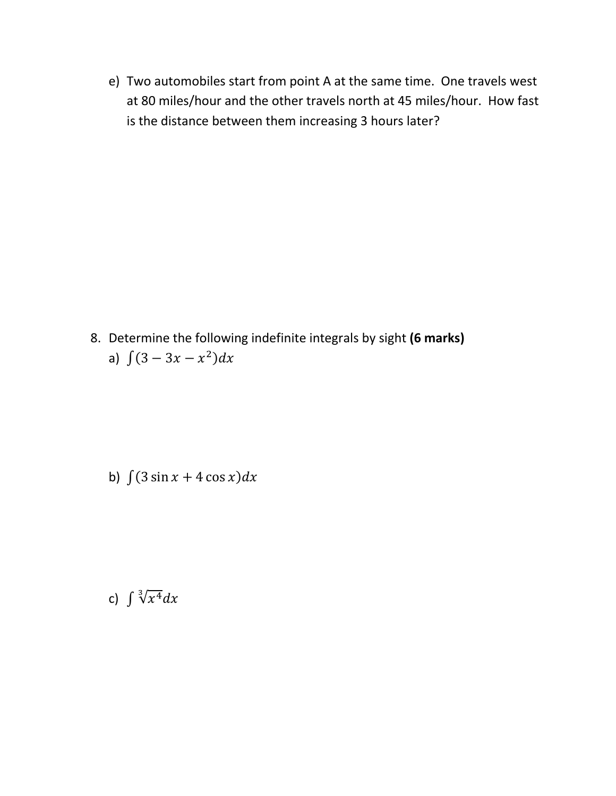e) Two automobiles start from point A at the same time. One travels west at 80 miles/hour and the other travels north at 45 miles/hour. How fast is the distance between them increasing 3 hours later?

8. Determine the following indefinite integrals by sight (6 marks) a)  $\int (3 - 3x - x^2) dx$ 

b)  $\int (3 \sin x + 4 \cos x) dx$ 

c)  $\int \sqrt[3]{x^4} dx$